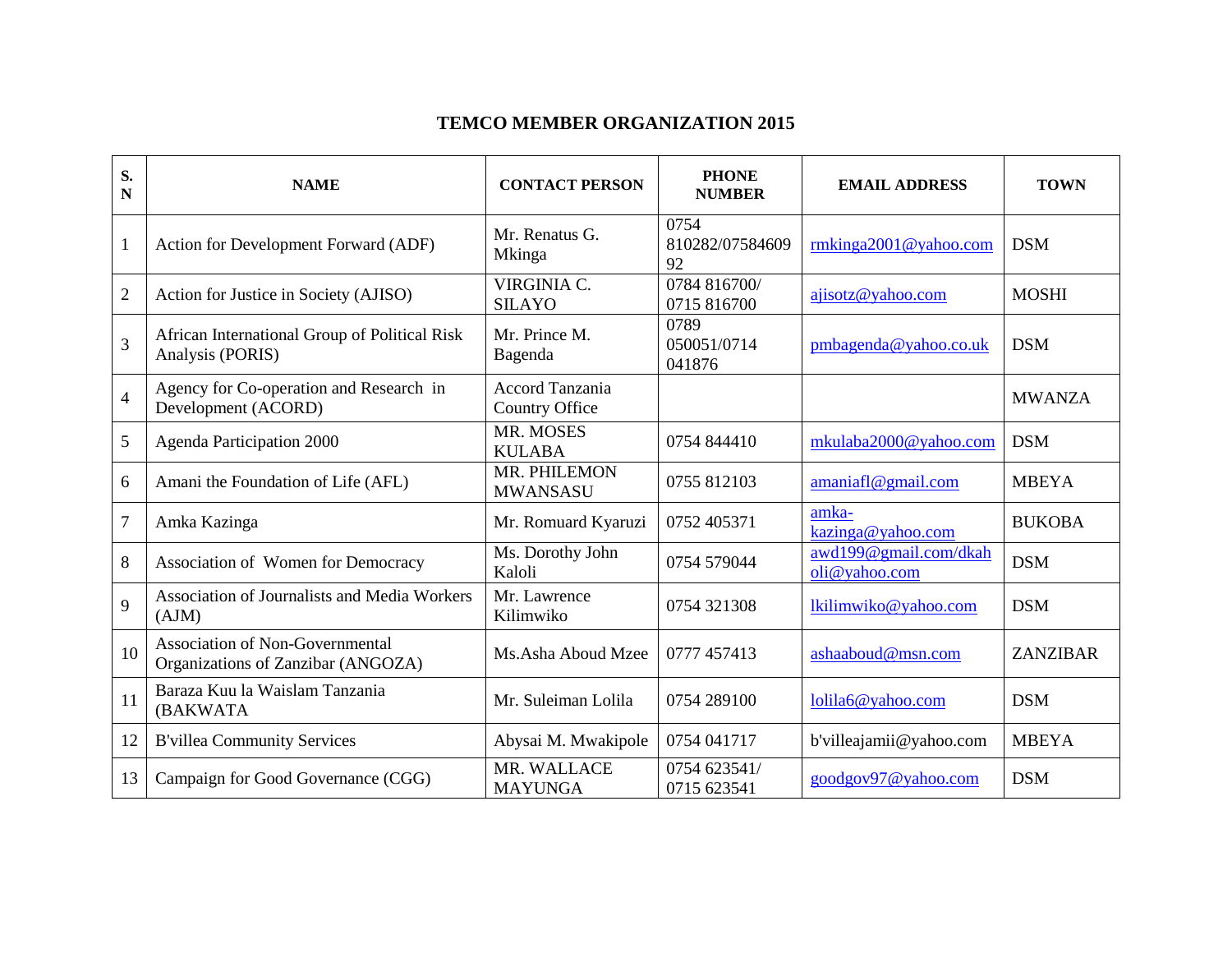## **TEMCO MEMBER ORGANIZATION 2015**

| S.<br>N        | <b>NAME</b>                                                                  | <b>CONTACT PERSON</b>             | <b>PHONE</b><br><b>NUMBER</b> | <b>EMAIL ADDRESS</b>                   | <b>TOWN</b>   |
|----------------|------------------------------------------------------------------------------|-----------------------------------|-------------------------------|----------------------------------------|---------------|
| $\mathbf{1}$   | Action for Development Forward (ADF)                                         | Mr. Renatus G.<br>Mkinga          | 0754<br>810282/07584609<br>92 | rmkinga2001@yahoo.com                  | <b>DSM</b>    |
| $\overline{2}$ | Action for Justice in Society (AJISO)                                        | VIRGINIA C.<br><b>SILAYO</b>      | 0784 816700/<br>0715 816700   | ajisotz@yahoo.com                      | <b>MOSHI</b>  |
| $\overline{3}$ | African International Group of Political Risk<br>Analysis (PORIS)            | Mr. Prince M.<br>Bagenda          | 0789<br>050051/0714<br>041876 | pmbagenda@yahoo.co.uk                  | <b>DSM</b>    |
| $\overline{4}$ | Agency for Co-operation and Research in<br>Development (ACORD)               | Accord Tanzania<br>Country Office |                               |                                        | <b>MWANZA</b> |
| 5              | Agenda Participation 2000                                                    | MR. MOSES<br><b>KULABA</b>        | 0754 844410                   | mkulaba2000@yahoo.com                  | <b>DSM</b>    |
| 6              | Amani the Foundation of Life (AFL)                                           | MR. PHILEMON<br><b>MWANSASU</b>   | 0755 812103                   | amaniaf@gmail.com                      | <b>MBEYA</b>  |
| $\overline{7}$ | Amka Kazinga                                                                 | Mr. Romuard Kyaruzi               | 0752 405371                   | amka-<br>kazinga@yahoo.com             | <b>BUKOBA</b> |
| 8              | Association of Women for Democracy                                           | Ms. Dorothy John<br>Kaloli        | 0754 579044                   | awd199@gmail.com/dkah<br>oli@yahoo.com | <b>DSM</b>    |
| 9              | Association of Journalists and Media Workers<br>(AJM)                        | Mr. Lawrence<br>Kilimwiko         | 0754 321308                   | lkilimwiko@yahoo.com                   | <b>DSM</b>    |
| 10             | <b>Association of Non-Governmental</b><br>Organizations of Zanzibar (ANGOZA) | Ms.Asha Aboud Mzee                | 0777 457413                   | ashaaboud@msn.com                      | ZANZIBAR      |
| 11             | Baraza Kuu la Waislam Tanzania<br>(BAKWATA                                   | Mr. Suleiman Lolila               | 0754 289100                   | lolila6@yahoo.com                      | <b>DSM</b>    |
| 12             | <b>B'villea Community Services</b>                                           | Abysai M. Mwakipole               | 0754 041717                   | b'villeajamii@yahoo.com                | <b>MBEYA</b>  |
| 13             | Campaign for Good Governance (CGG)                                           | MR. WALLACE<br><b>MAYUNGA</b>     | 0754 623541/<br>0715 623541   | goodgov97@yahoo.com                    | <b>DSM</b>    |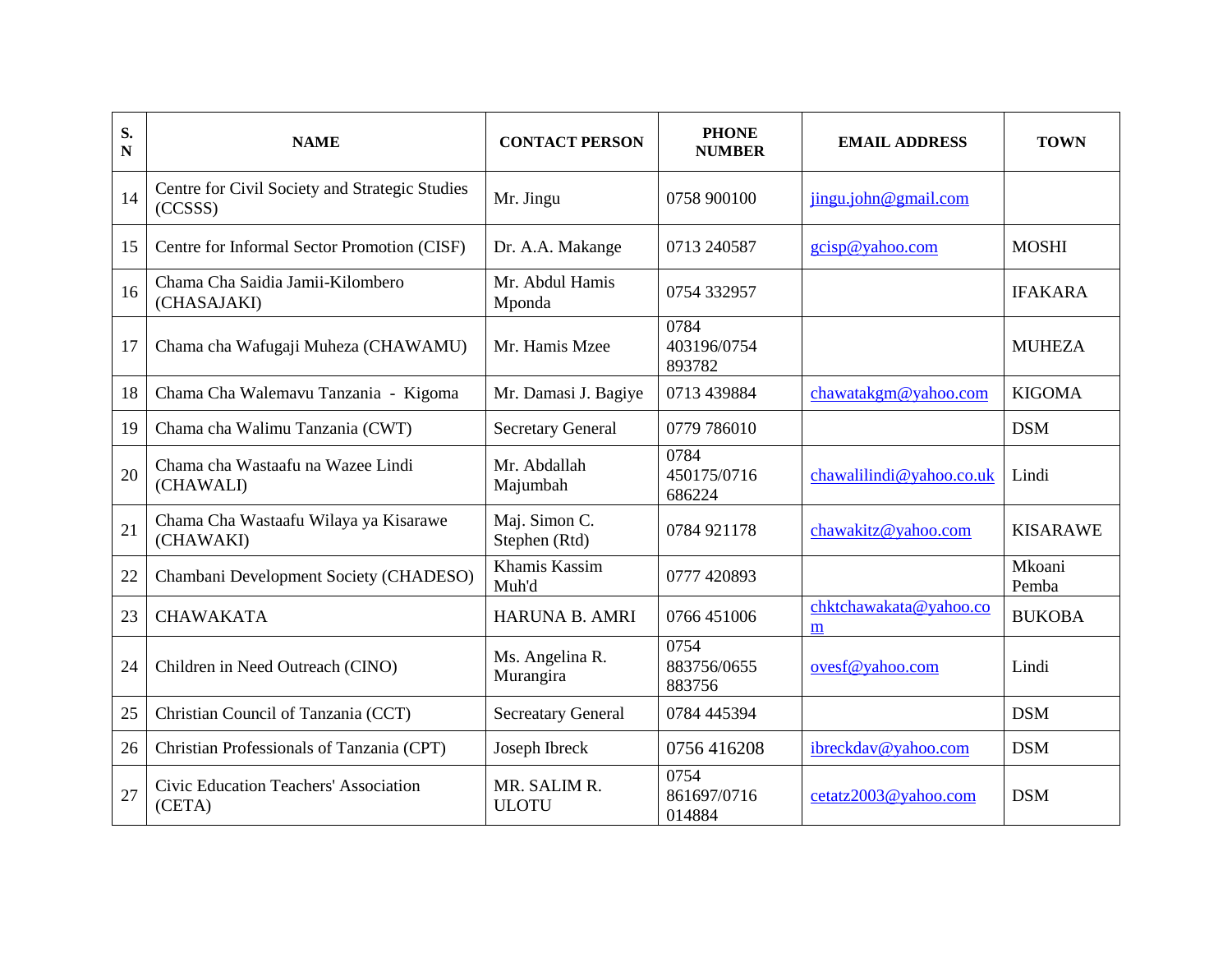| S.<br>N | <b>NAME</b>                                               | <b>CONTACT PERSON</b>          | <b>PHONE</b><br><b>NUMBER</b> | <b>EMAIL ADDRESS</b>        | <b>TOWN</b>     |
|---------|-----------------------------------------------------------|--------------------------------|-------------------------------|-----------------------------|-----------------|
| 14      | Centre for Civil Society and Strategic Studies<br>(CCSSS) | Mr. Jingu                      | 0758 900100                   | jingu.john@gmail.com        |                 |
| 15      | Centre for Informal Sector Promotion (CISF)               | Dr. A.A. Makange               | 0713 240587                   | gcisp@yahoo.com             | <b>MOSHI</b>    |
| 16      | Chama Cha Saidia Jamii-Kilombero<br>(CHASAJAKI)           | Mr. Abdul Hamis<br>Mponda      | 0754 332957                   |                             | <b>IFAKARA</b>  |
| 17      | Chama cha Wafugaji Muheza (CHAWAMU)                       | Mr. Hamis Mzee                 | 0784<br>403196/0754<br>893782 |                             | <b>MUHEZA</b>   |
| 18      | Chama Cha Walemavu Tanzania - Kigoma                      | Mr. Damasi J. Bagiye           | 0713 439884                   | chawatakgm@yahoo.com        | <b>KIGOMA</b>   |
| 19      | Chama cha Walimu Tanzania (CWT)                           | <b>Secretary General</b>       | 0779 786010                   |                             | <b>DSM</b>      |
| 20      | Chama cha Wastaafu na Wazee Lindi<br>(CHAWALI)            | Mr. Abdallah<br>Majumbah       | 0784<br>450175/0716<br>686224 | chawalilindi@yahoo.co.uk    | Lindi           |
| 21      | Chama Cha Wastaafu Wilaya ya Kisarawe<br>(CHAWAKI)        | Maj. Simon C.<br>Stephen (Rtd) | 0784 921178                   | chawakitz@yahoo.com         | <b>KISARAWE</b> |
| 22      | Chambani Development Society (CHADESO)                    | Khamis Kassim<br>Muh'd         | 0777 420893                   |                             | Mkoani<br>Pemba |
| 23      | <b>CHAWAKATA</b>                                          | <b>HARUNA B. AMRI</b>          | 0766 451006                   | chktchawakata@yahoo.co<br>m | <b>BUKOBA</b>   |
| 24      | Children in Need Outreach (CINO)                          | Ms. Angelina R.<br>Murangira   | 0754<br>883756/0655<br>883756 | ovesf@yahoo.com             | Lindi           |
| 25      | Christian Council of Tanzania (CCT)                       | <b>Secreatary General</b>      | 0784 445394                   |                             | <b>DSM</b>      |
| 26      | Christian Professionals of Tanzania (CPT)                 | Joseph Ibreck                  | 0756 416208                   | ibreckdav@yahoo.com         | <b>DSM</b>      |
| 27      | Civic Education Teachers' Association<br>(CFTA)           | MR. SALIM R.<br><b>ULOTU</b>   | 0754<br>861697/0716<br>014884 | cetatz2003@yahoo.com        | <b>DSM</b>      |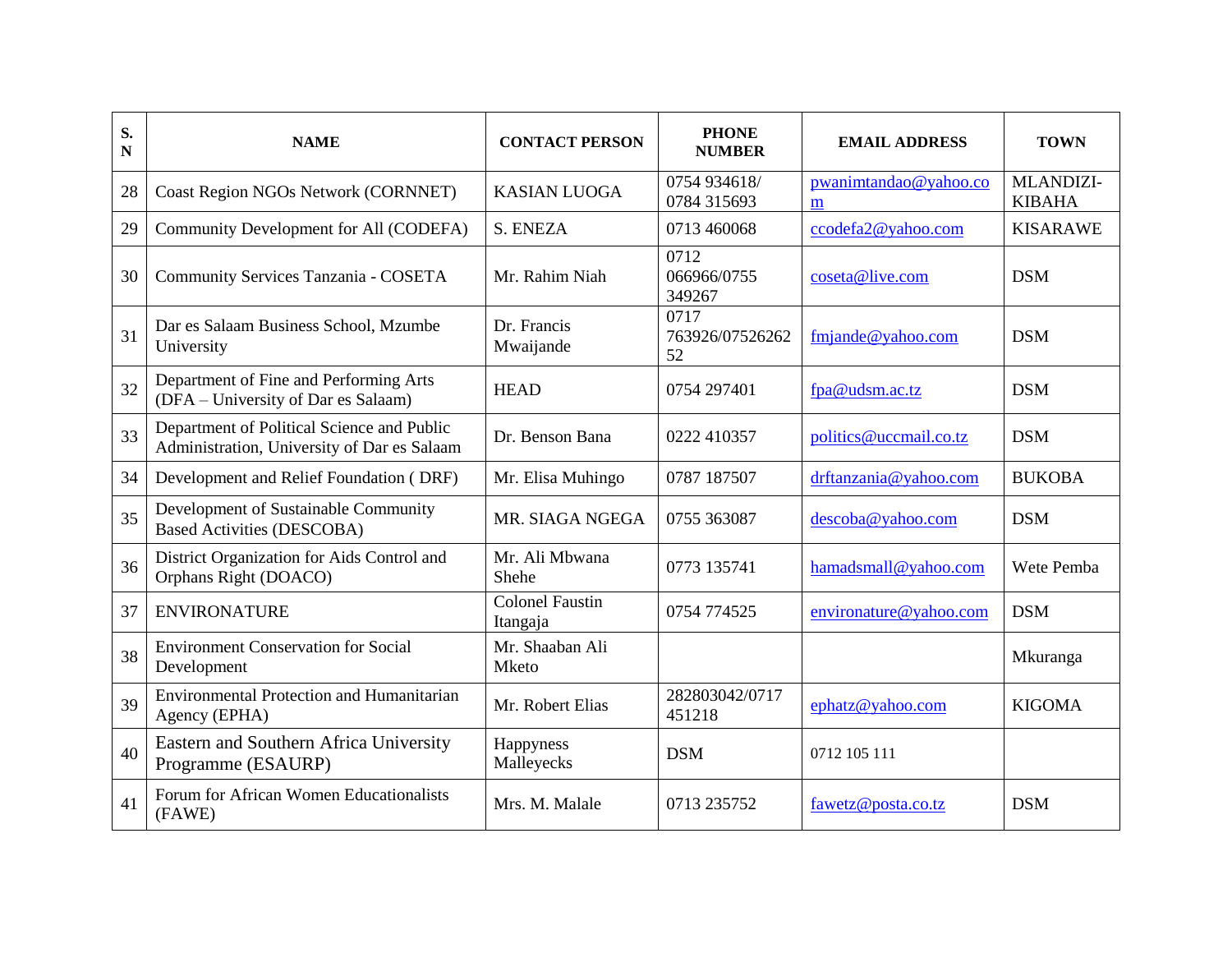| S.<br>$\mathbf N$ | <b>NAME</b>                                                                               | <b>CONTACT PERSON</b>              | <b>PHONE</b><br><b>NUMBER</b> | <b>EMAIL ADDRESS</b>       | <b>TOWN</b>                |
|-------------------|-------------------------------------------------------------------------------------------|------------------------------------|-------------------------------|----------------------------|----------------------------|
| 28                | Coast Region NGOs Network (CORNNET)                                                       | <b>KASIAN LUOGA</b>                | 0754 934618/<br>0784 315693   | pwanimtandao@yahoo.co<br>m | MLANDIZI-<br><b>KIBAHA</b> |
| 29                | Community Development for All (CODEFA)                                                    | S. ENEZA                           | 0713 460068                   | ccodefa2@yahoo.com         | <b>KISARAWE</b>            |
| 30                | Community Services Tanzania - COSETA                                                      | Mr. Rahim Niah                     | 0712<br>066966/0755<br>349267 | coseta@live.com            | <b>DSM</b>                 |
| 31                | Dar es Salaam Business School, Mzumbe<br>University                                       | Dr. Francis<br>Mwaijande           | 0717<br>763926/07526262<br>52 | $f_m$ jande@yahoo.com      | <b>DSM</b>                 |
| 32                | Department of Fine and Performing Arts<br>(DFA – University of Dar es Salaam)             | <b>HEAD</b>                        | 0754 297401                   | fpa@udsm.ac.tz             | <b>DSM</b>                 |
| 33                | Department of Political Science and Public<br>Administration, University of Dar es Salaam | Dr. Benson Bana                    | 0222 410357                   | politics@uccmail.co.tz     | <b>DSM</b>                 |
| 34                | Development and Relief Foundation (DRF)                                                   | Mr. Elisa Muhingo                  | 0787 187507                   | drftanzania@yahoo.com      | <b>BUKOBA</b>              |
| 35                | Development of Sustainable Community<br><b>Based Activities (DESCOBA)</b>                 | MR. SIAGA NGEGA                    | 0755 363087                   | descoba@yahoo.com          | <b>DSM</b>                 |
| 36                | District Organization for Aids Control and<br>Orphans Right (DOACO)                       | Mr. Ali Mbwana<br>Shehe            | 0773 135741                   | hamadsmall@yahoo.com       | Wete Pemba                 |
| 37                | <b>ENVIRONATURE</b>                                                                       | <b>Colonel Faustin</b><br>Itangaja | 0754 774525                   | environature@yahoo.com     | <b>DSM</b>                 |
| 38                | <b>Environment Conservation for Social</b><br>Development                                 | Mr. Shaaban Ali<br>Mketo           |                               |                            | Mkuranga                   |
| 39                | Environmental Protection and Humanitarian<br>Agency (EPHA)                                | Mr. Robert Elias                   | 282803042/0717<br>451218      | ephatz@yahoo.com           | <b>KIGOMA</b>              |
| 40                | Eastern and Southern Africa University<br>Programme (ESAURP)                              | Happyness<br>Malleyecks            | <b>DSM</b>                    | 0712 105 111               |                            |
| 41                | Forum for African Women Educationalists<br>(FAWE)                                         | Mrs. M. Malale                     | 0713 235752                   | fawetz@posta.co.tz         | <b>DSM</b>                 |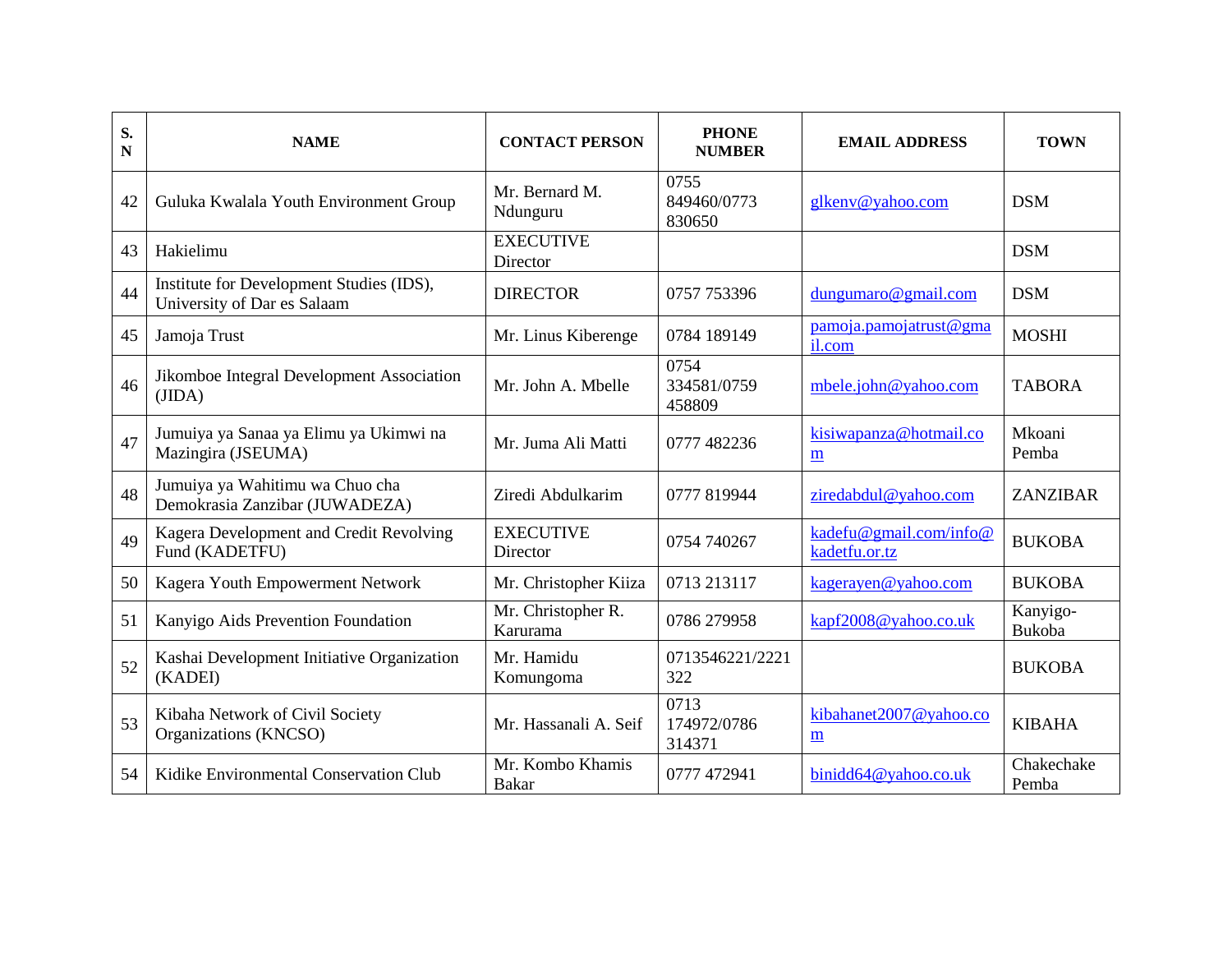| S.<br>N | <b>NAME</b>                                                             | <b>CONTACT PERSON</b>            | <b>PHONE</b><br><b>NUMBER</b> | <b>EMAIL ADDRESS</b>                    | <b>TOWN</b>         |
|---------|-------------------------------------------------------------------------|----------------------------------|-------------------------------|-----------------------------------------|---------------------|
| 42      | Guluka Kwalala Youth Environment Group                                  | Mr. Bernard M.<br>Ndunguru       | 0755<br>849460/0773<br>830650 | glkenv@yahoo.com                        | <b>DSM</b>          |
| 43      | Hakielimu                                                               | <b>EXECUTIVE</b><br>Director     |                               |                                         | <b>DSM</b>          |
| 44      | Institute for Development Studies (IDS),<br>University of Dar es Salaam | <b>DIRECTOR</b>                  | 0757 753396                   | dungumaro@gmail.com                     | <b>DSM</b>          |
| 45      | Jamoja Trust                                                            | Mr. Linus Kiberenge              | 0784 189149                   | pamoja.pamojatrust@gma<br>il.com        | <b>MOSHI</b>        |
| 46      | Jikomboe Integral Development Association<br>(JIDA)                     | Mr. John A. Mbelle               | 0754<br>334581/0759<br>458809 | mbele.john@yahoo.com                    | <b>TABORA</b>       |
| 47      | Jumuiya ya Sanaa ya Elimu ya Ukimwi na<br>Mazingira (JSEUMA)            | Mr. Juma Ali Matti               | 0777 482236                   | kisiwapanza@hotmail.co<br>m             | Mkoani<br>Pemba     |
| 48      | Jumuiya ya Wahitimu wa Chuo cha<br>Demokrasia Zanzibar (JUWADEZA)       | Ziredi Abdulkarim                | 0777 819944                   | ziredabdul@yahoo.com                    | <b>ZANZIBAR</b>     |
| 49      | Kagera Development and Credit Revolving<br>Fund (KADETFU)               | <b>EXECUTIVE</b><br>Director     | 0754 740267                   | kadefu@gmail.com/info@<br>kadetfu.or.tz | <b>BUKOBA</b>       |
| 50      | Kagera Youth Empowerment Network                                        | Mr. Christopher Kiiza            | 0713 213117                   | kagerayen@yahoo.com                     | <b>BUKOBA</b>       |
| 51      | Kanyigo Aids Prevention Foundation                                      | Mr. Christopher R.<br>Karurama   | 0786 279958                   | kapf2008@yahoo.co.uk                    | Kanyigo-<br>Bukoba  |
| 52      | Kashai Development Initiative Organization<br>(KADEI)                   | Mr. Hamidu<br>Komungoma          | 0713546221/2221<br>322        |                                         | <b>BUKOBA</b>       |
| 53      | Kibaha Network of Civil Society<br>Organizations (KNCSO)                | Mr. Hassanali A. Seif            | 0713<br>174972/0786<br>314371 | kibahanet2007@yahoo.co<br>m             | <b>KIBAHA</b>       |
| 54      | Kidike Environmental Conservation Club                                  | Mr. Kombo Khamis<br><b>Bakar</b> | 0777 472941                   | binidd64@yahoo.co.uk                    | Chakechake<br>Pemba |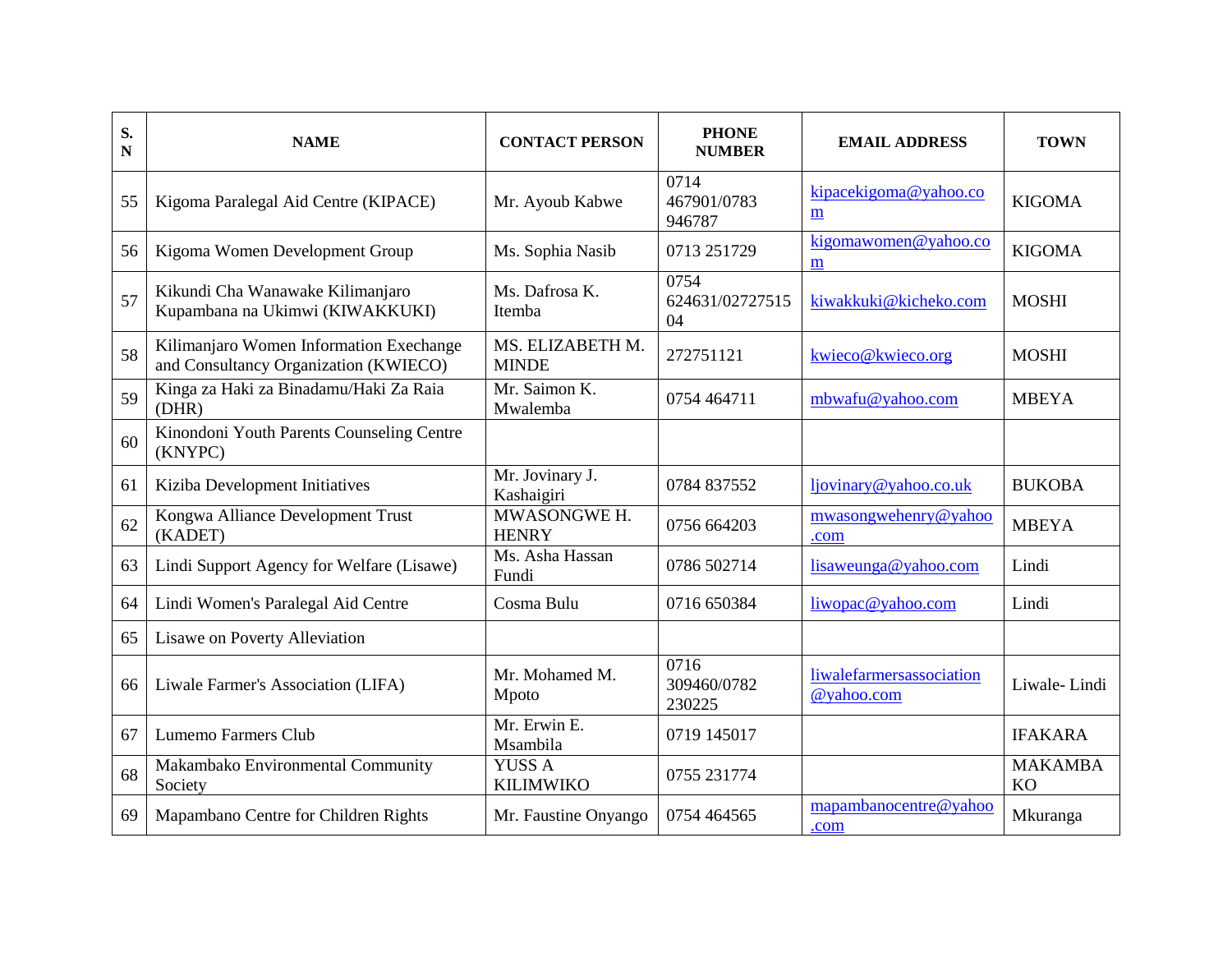| S.<br>N | <b>NAME</b>                                                                      | <b>CONTACT PERSON</b>             | <b>PHONE</b><br><b>NUMBER</b> | <b>EMAIL ADDRESS</b>                   | <b>TOWN</b>                 |
|---------|----------------------------------------------------------------------------------|-----------------------------------|-------------------------------|----------------------------------------|-----------------------------|
| 55      | Kigoma Paralegal Aid Centre (KIPACE)                                             | Mr. Ayoub Kabwe                   | 0714<br>467901/0783<br>946787 | kipacekigoma@yahoo.co<br>m             | <b>KIGOMA</b>               |
| 56      | Kigoma Women Development Group                                                   | Ms. Sophia Nasib                  | 0713 251729                   | kigomawomen@yahoo.co<br>m              | <b>KIGOMA</b>               |
| 57      | Kikundi Cha Wanawake Kilimanjaro<br>Kupambana na Ukimwi (KIWAKKUKI)              | Ms. Dafrosa K.<br>Itemba          | 0754<br>624631/02727515<br>04 | kiwakkuki@kicheko.com                  | <b>MOSHI</b>                |
| 58      | Kilimanjaro Women Information Exechange<br>and Consultancy Organization (KWIECO) | MS. ELIZABETH M.<br><b>MINDE</b>  | 272751121                     | kwieco@kwieco.org                      | <b>MOSHI</b>                |
| 59      | Kinga za Haki za Binadamu/Haki Za Raia<br>(DHR)                                  | Mr. Saimon K.<br>Mwalemba         | 0754 464711                   | mbwafu@yahoo.com                       | <b>MBEYA</b>                |
| 60      | Kinondoni Youth Parents Counseling Centre<br>(KNYPC)                             |                                   |                               |                                        |                             |
| 61      | Kiziba Development Initiatives                                                   | Mr. Jovinary J.<br>Kashaigiri     | 0784 837552                   | ljovinary@yahoo.co.uk                  | <b>BUKOBA</b>               |
| 62      | Kongwa Alliance Development Trust<br>(KADET)                                     | MWASONGWE H.<br><b>HENRY</b>      | 0756 664203                   | mwasongwehenry@yahoo<br>.com           | <b>MBEYA</b>                |
| 63      | Lindi Support Agency for Welfare (Lisawe)                                        | Ms. Asha Hassan<br>Fundi          | 0786 502714                   | lisaweunga@yahoo.com                   | Lindi                       |
| 64      | Lindi Women's Paralegal Aid Centre                                               | Cosma Bulu                        | 0716 650384                   | liwopac@yahoo.com                      | Lindi                       |
| 65      | Lisawe on Poverty Alleviation                                                    |                                   |                               |                                        |                             |
| 66      | Liwale Farmer's Association (LIFA)                                               | Mr. Mohamed M.<br>Mpoto           | 0716<br>309460/0782<br>230225 | liwalefarmersassociation<br>@yahoo.com | Liwale-Lindi                |
| 67      | <b>Lumemo Farmers Club</b>                                                       | Mr. Erwin E.<br>Msambila          | 0719 145017                   |                                        | <b>IFAKARA</b>              |
| 68      | Makambako Environmental Community<br>Society                                     | <b>YUSS A</b><br><b>KILIMWIKO</b> | 0755 231774                   |                                        | <b>MAKAMBA</b><br><b>KO</b> |
| 69      | Mapambano Centre for Children Rights                                             | Mr. Faustine Onyango              | 0754 464565                   | mapambanocentre@yahoo<br>.com          | Mkuranga                    |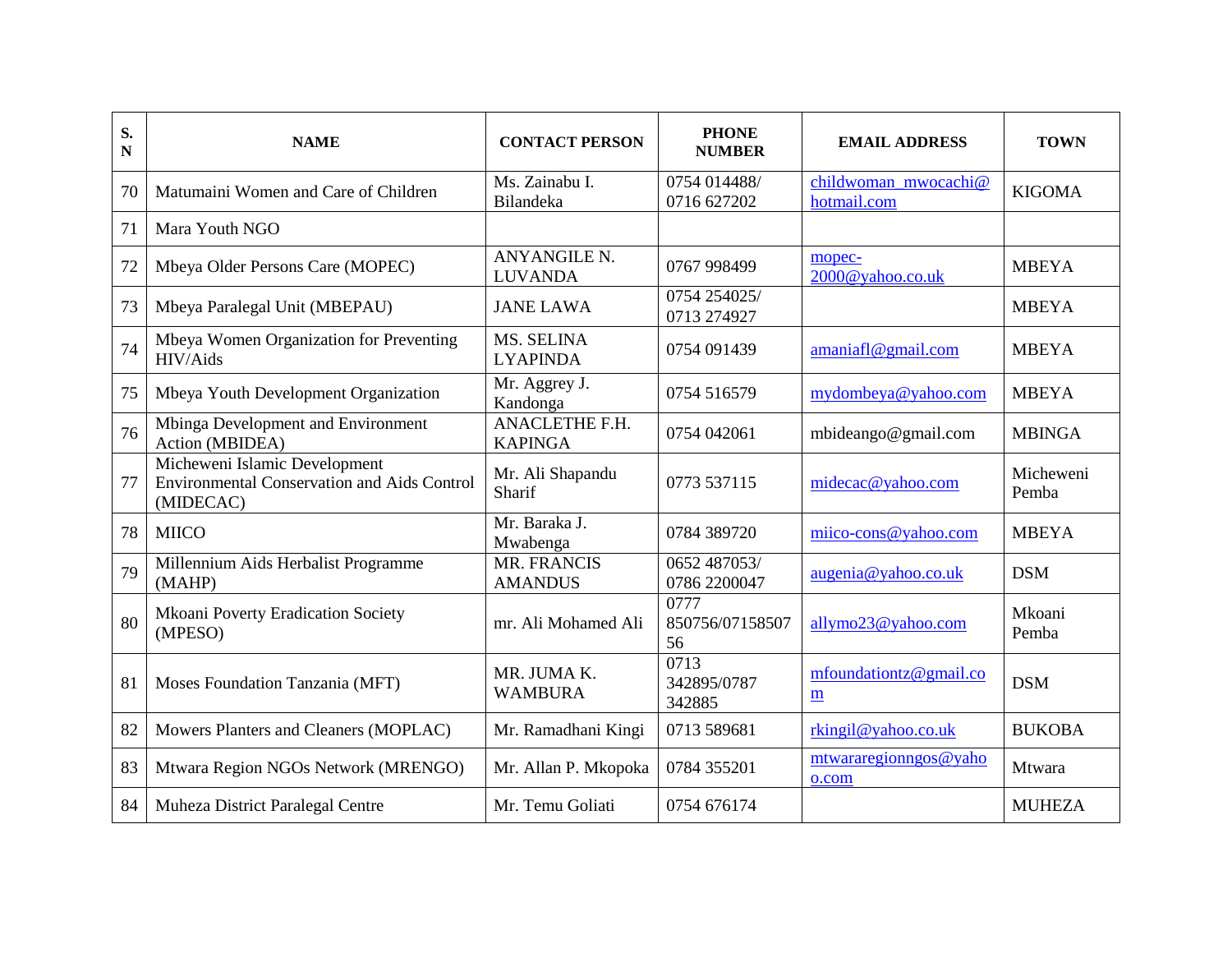| S.<br>N | <b>NAME</b>                                                                                      | <b>CONTACT PERSON</b>                 | <b>PHONE</b><br><b>NUMBER</b> | <b>EMAIL ADDRESS</b>                      | <b>TOWN</b>        |
|---------|--------------------------------------------------------------------------------------------------|---------------------------------------|-------------------------------|-------------------------------------------|--------------------|
| 70      | Matumaini Women and Care of Children                                                             | Ms. Zainabu I.<br>Bilandeka           | 0754 014488/<br>0716 627202   | childwoman mwocachi@<br>hotmail.com       | <b>KIGOMA</b>      |
| 71      | Mara Youth NGO                                                                                   |                                       |                               |                                           |                    |
| 72      | Mbeya Older Persons Care (MOPEC)                                                                 | <b>ANYANGILE N.</b><br><b>LUVANDA</b> | 0767 998499                   | mopec-<br>2000@yahoo.co.uk                | <b>MBEYA</b>       |
| 73      | Mbeya Paralegal Unit (MBEPAU)                                                                    | <b>JANE LAWA</b>                      | 0754 254025/<br>0713 274927   |                                           | <b>MBEYA</b>       |
| 74      | Mbeya Women Organization for Preventing<br>HIV/Aids                                              | MS. SELINA<br><b>LYAPINDA</b>         | 0754 091439                   | amaniafl@gmail.com                        | <b>MBEYA</b>       |
| 75      | Mbeya Youth Development Organization                                                             | Mr. Aggrey J.<br>Kandonga             | 0754 516579                   | mydombeya@yahoo.com                       | <b>MBEYA</b>       |
| 76      | Mbinga Development and Environment<br>Action (MBIDEA)                                            | ANACLETHE F.H.<br><b>KAPINGA</b>      | 0754 042061                   | mbideango@gmail.com                       | <b>MBINGA</b>      |
| 77      | Micheweni Islamic Development<br><b>Environmental Conservation and Aids Control</b><br>(MIDECAC) | Mr. Ali Shapandu<br>Sharif            | 0773 537115                   | midecac@yahoo.com                         | Micheweni<br>Pemba |
| 78      | <b>MIICO</b>                                                                                     | Mr. Baraka J.<br>Mwabenga             | 0784 389720                   | miico-cons@yahoo.com                      | <b>MBEYA</b>       |
| 79      | Millennium Aids Herbalist Programme<br>(MAHP)                                                    | MR. FRANCIS<br><b>AMANDUS</b>         | 0652 487053/<br>0786 2200047  | augenia@yahoo.co.uk                       | <b>DSM</b>         |
| 80      | <b>Mkoani Poverty Eradication Society</b><br>(MPESO)                                             | mr. Ali Mohamed Ali                   | 0777<br>850756/07158507<br>56 | allymo23@yahoo.com                        | Mkoani<br>Pemba    |
| 81      | Moses Foundation Tanzania (MFT)                                                                  | MR. JUMA K.<br><b>WAMBURA</b>         | 0713<br>342895/0787<br>342885 | mfoundationtz@gmail.co<br>$\underline{m}$ | <b>DSM</b>         |
| 82      | Mowers Planters and Cleaners (MOPLAC)                                                            | Mr. Ramadhani Kingi                   | 0713 589681                   | rkingil@yahoo.co.uk                       | <b>BUKOBA</b>      |
| 83      | Mtwara Region NGOs Network (MRENGO)                                                              | Mr. Allan P. Mkopoka                  | 0784 355201                   | mtwararegionngos@yaho<br>o.com            | Mtwara             |
| 84      | Muheza District Paralegal Centre                                                                 | Mr. Temu Goliati                      | 0754 676174                   |                                           | <b>MUHEZA</b>      |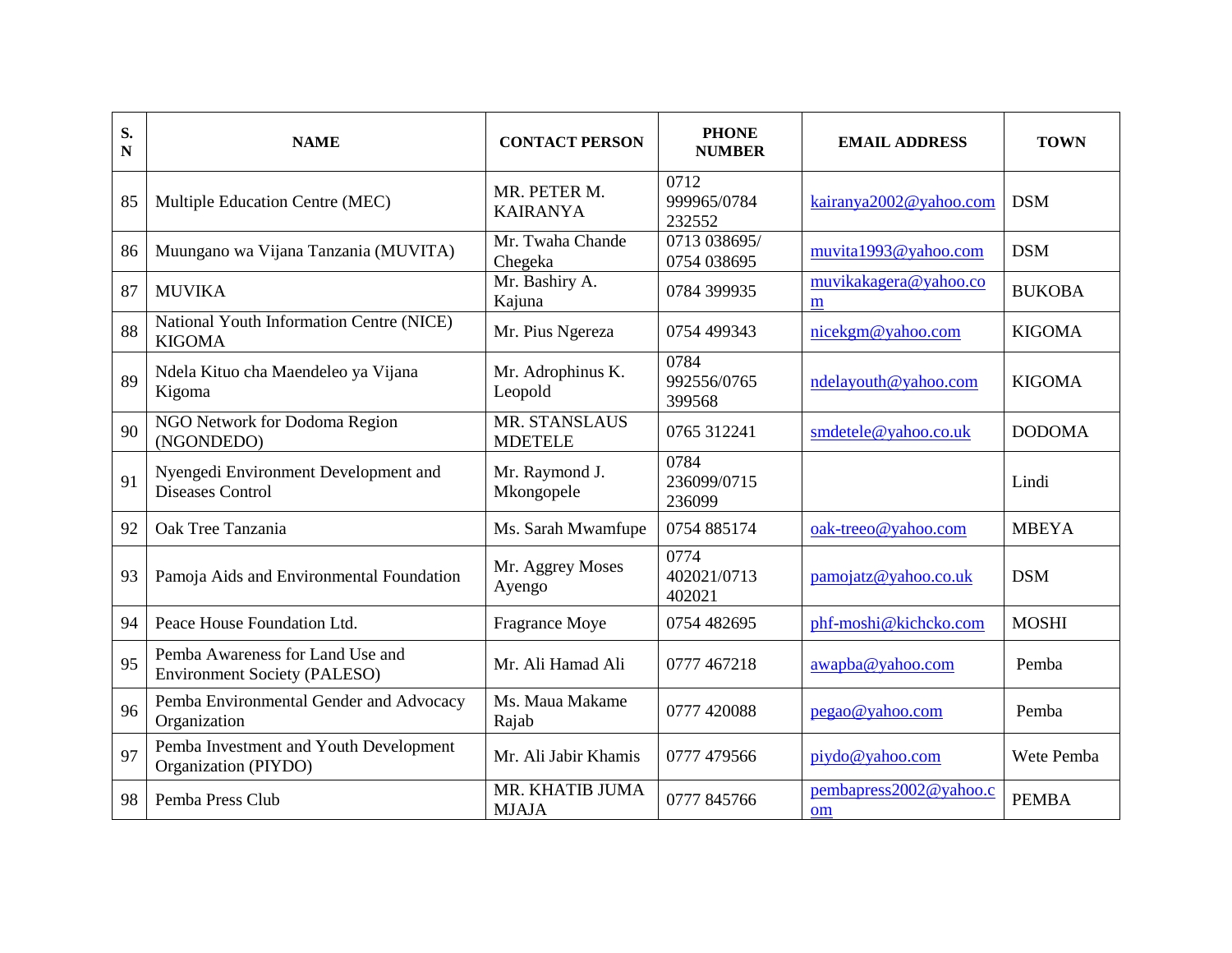| S.<br>$\mathbf N$ | <b>NAME</b>                                                             | <b>CONTACT PERSON</b>           | <b>PHONE</b><br><b>NUMBER</b> | <b>EMAIL ADDRESS</b>         | <b>TOWN</b>   |
|-------------------|-------------------------------------------------------------------------|---------------------------------|-------------------------------|------------------------------|---------------|
| 85                | Multiple Education Centre (MEC)                                         | MR. PETER M.<br><b>KAIRANYA</b> | 0712<br>999965/0784<br>232552 | kairanya2002@yahoo.com       | <b>DSM</b>    |
| 86                | Muungano wa Vijana Tanzania (MUVITA)                                    | Mr. Twaha Chande<br>Chegeka     | 0713 038695/<br>0754 038695   | muvita1993@yahoo.com         | <b>DSM</b>    |
| 87                | <b>MUVIKA</b>                                                           | Mr. Bashiry A.<br>Kajuna        | 0784 399935                   | muvikakagera@yahoo.co<br>m   | <b>BUKOBA</b> |
| 88                | National Youth Information Centre (NICE)<br><b>KIGOMA</b>               | Mr. Pius Ngereza                | 0754 499343                   | nicekgm@yahoo.com            | <b>KIGOMA</b> |
| 89                | Ndela Kituo cha Maendeleo ya Vijana<br>Kigoma                           | Mr. Adrophinus K.<br>Leopold    | 0784<br>992556/0765<br>399568 | ndelayouth@yahoo.com         | <b>KIGOMA</b> |
| 90                | NGO Network for Dodoma Region<br>(NGONDEDO)                             | MR. STANSLAUS<br><b>MDETELE</b> | 0765 312241                   | smdetele@yahoo.co.uk         | <b>DODOMA</b> |
| 91                | Nyengedi Environment Development and<br>Diseases Control                | Mr. Raymond J.<br>Mkongopele    | 0784<br>236099/0715<br>236099 |                              | Lindi         |
| 92                | Oak Tree Tanzania                                                       | Ms. Sarah Mwamfupe              | 0754 885174                   | oak-treeo@yahoo.com          | <b>MBEYA</b>  |
| 93                | Pamoja Aids and Environmental Foundation                                | Mr. Aggrey Moses<br>Ayengo      | 0774<br>402021/0713<br>402021 | pamojatz@yahoo.co.uk         | <b>DSM</b>    |
| 94                | Peace House Foundation Ltd.                                             | Fragrance Moye                  | 0754 482695                   | phf-moshi@kichcko.com        | <b>MOSHI</b>  |
| 95                | Pemba Awareness for Land Use and<br><b>Environment Society (PALESO)</b> | Mr. Ali Hamad Ali               | 0777 467218                   | awapba@yahoo.com             | Pemba         |
| 96                | Pemba Environmental Gender and Advocacy<br>Organization                 | Ms. Maua Makame<br>Rajab        | 0777 420088                   | pegao@yahoo.com              | Pemba         |
| 97                | Pemba Investment and Youth Development<br>Organization (PIYDO)          | Mr. Ali Jabir Khamis            | 0777 479566                   | piydo@yahoo.com              | Wete Pemba    |
| 98                | Pemba Press Club                                                        | MR. KHATIB JUMA<br><b>MJAJA</b> | 0777 845766                   | pembapress2002@yahoo.c<br>om | <b>PEMBA</b>  |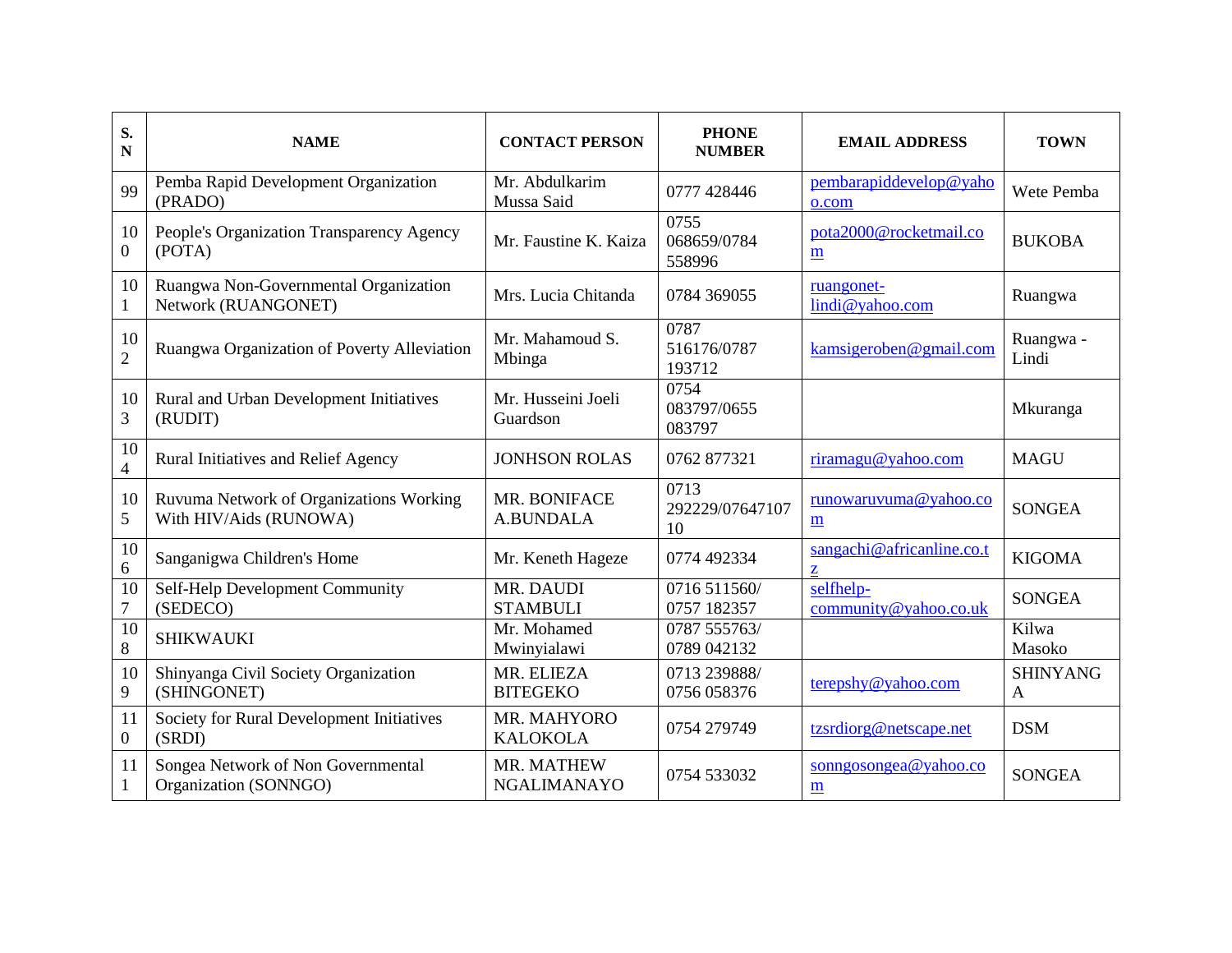| S.<br>${\bf N}$        | <b>NAME</b>                                                       | <b>CONTACT PERSON</b>            | <b>PHONE</b><br><b>NUMBER</b> | <b>EMAIL ADDRESS</b>                              | <b>TOWN</b>          |
|------------------------|-------------------------------------------------------------------|----------------------------------|-------------------------------|---------------------------------------------------|----------------------|
| 99                     | Pemba Rapid Development Organization<br>(PRADO)                   | Mr. Abdulkarim<br>Mussa Said     | 0777 428446                   | pembarapiddevelop@yaho<br>o.com                   | Wete Pemba           |
| 10<br>$\overline{0}$   | People's Organization Transparency Agency<br>(POTA)               | Mr. Faustine K. Kaiza            | 0755<br>068659/0784<br>558996 | pota2000@rocketmail.co<br>m                       | <b>BUKOBA</b>        |
| 10<br>1                | Ruangwa Non-Governmental Organization<br>Network (RUANGONET)      | Mrs. Lucia Chitanda              | 0784 369055                   | ruangonet-<br>lindi@yahoo.com                     | Ruangwa              |
| 10<br>$\overline{2}$   | Ruangwa Organization of Poverty Alleviation                       | Mr. Mahamoud S.<br>Mbinga        | 0787<br>516176/0787<br>193712 | kamsigeroben@gmail.com                            | Ruangwa -<br>Lindi   |
| 10<br>3                | Rural and Urban Development Initiatives<br>(RUDIT)                | Mr. Husseini Joeli<br>Guardson   | 0754<br>083797/0655<br>083797 |                                                   | Mkuranga             |
| 10<br>$\overline{4}$   | <b>Rural Initiatives and Relief Agency</b>                        | <b>JONHSON ROLAS</b>             | 0762 877321                   | riramagu@yahoo.com                                | <b>MAGU</b>          |
| 10<br>5                | Ruvuma Network of Organizations Working<br>With HIV/Aids (RUNOWA) | MR. BONIFACE<br><b>A.BUNDALA</b> | 0713<br>292229/07647107<br>10 | runowaruvuma@yahoo.co<br>$\underline{\mathbf{m}}$ | <b>SONGEA</b>        |
| 10<br>6                | Sanganigwa Children's Home                                        | Mr. Keneth Hageze                | 0774 492334                   | sangachi@africanline.co.t<br>$\mathbf{Z}$         | <b>KIGOMA</b>        |
| 10<br>$\tau$           | Self-Help Development Community<br>(SEDECO)                       | MR. DAUDI<br><b>STAMBULI</b>     | 0716 511560/<br>0757 182357   | selfhelp-<br>community@yahoo.co.uk                | <b>SONGEA</b>        |
| $\overline{10}$<br>8   | <b>SHIKWAUKI</b>                                                  | Mr. Mohamed<br>Mwinyialawi       | 0787 555763/<br>0789 042132   |                                                   | Kilwa<br>Masoko      |
| 10<br>9                | Shinyanga Civil Society Organization<br>(SHINGONET)               | MR. ELIEZA<br><b>BITEGEKO</b>    | 0713 239888/<br>0756 058376   | terepshy@yahoo.com                                | <b>SHINYANG</b><br>A |
| 11<br>$\boldsymbol{0}$ | Society for Rural Development Initiatives<br>(SRDI)               | MR. MAHYORO<br><b>KALOKOLA</b>   | 0754 279749                   | tzsrdiorg@netscape.net                            | <b>DSM</b>           |
| 11<br>$\mathbf{1}$     | Songea Network of Non Governmental<br>Organization (SONNGO)       | MR. MATHEW<br><b>NGALIMANAYO</b> | 0754 533032                   | sonngosongea@yahoo.co<br>$\underline{\mathbf{m}}$ | <b>SONGEA</b>        |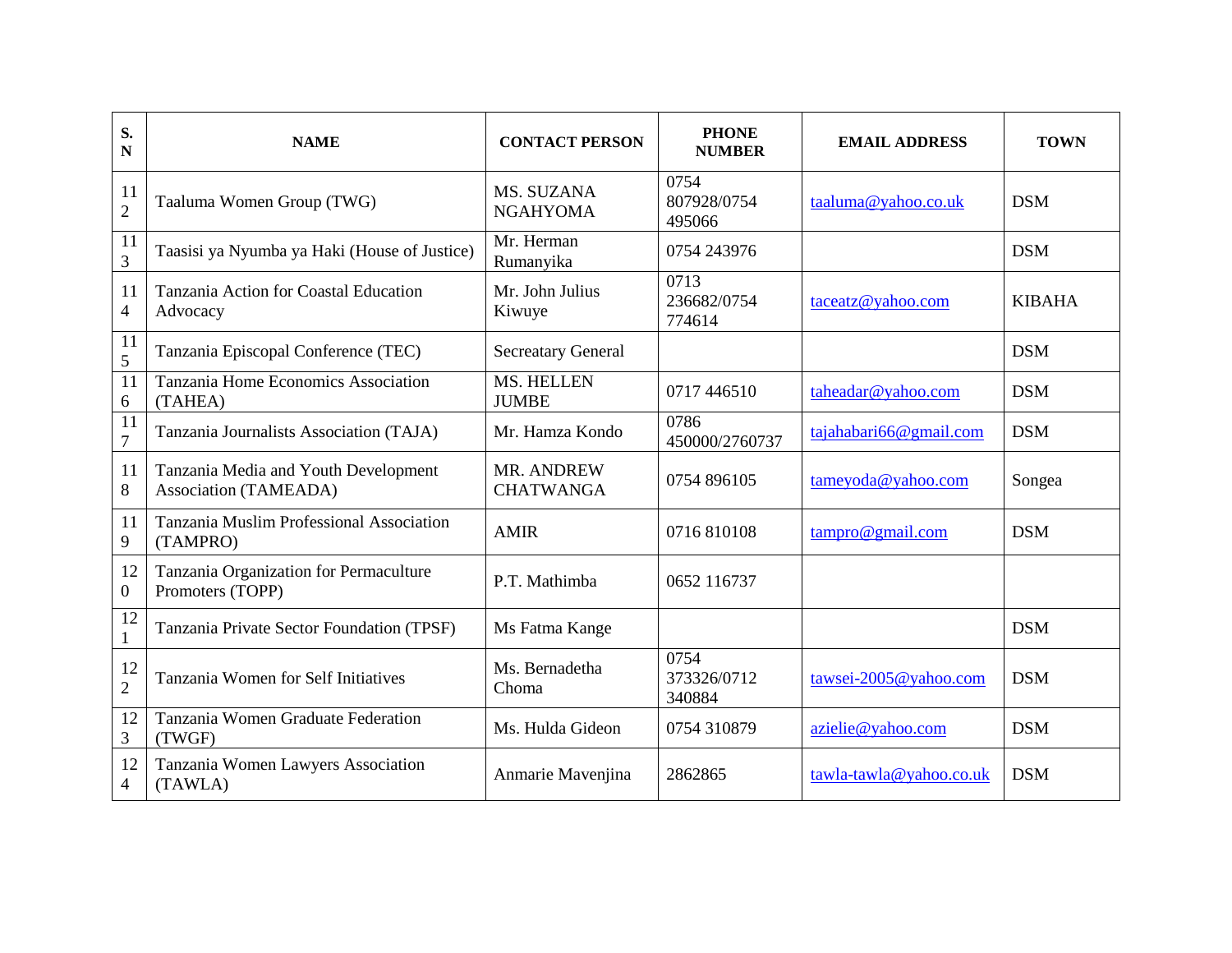| S.<br>N              | <b>NAME</b>                                                          | <b>CONTACT PERSON</b>                 | <b>PHONE</b><br><b>NUMBER</b> | <b>EMAIL ADDRESS</b>    | <b>TOWN</b>   |
|----------------------|----------------------------------------------------------------------|---------------------------------------|-------------------------------|-------------------------|---------------|
| 11<br>$\overline{2}$ | Taaluma Women Group (TWG)                                            | MS. SUZANA<br><b>NGAHYOMA</b>         | 0754<br>807928/0754<br>495066 | taaluma@yahoo.co.uk     | <b>DSM</b>    |
| 11<br>$\overline{3}$ | Taasisi ya Nyumba ya Haki (House of Justice)                         | Mr. Herman<br>Rumanyika               | 0754 243976                   |                         | <b>DSM</b>    |
| 11<br>$\overline{4}$ | Tanzania Action for Coastal Education<br>Advocacy                    | Mr. John Julius<br>Kiwuye             | 0713<br>236682/0754<br>774614 | taceatz@yahoo.com       | <b>KIBAHA</b> |
| 11<br>5              | Tanzania Episcopal Conference (TEC)                                  | <b>Secreatary General</b>             |                               |                         | <b>DSM</b>    |
| 11<br>6              | Tanzania Home Economics Association<br>(TAHEA)                       | <b>MS. HELLEN</b><br><b>JUMBE</b>     | 0717 446510                   | taheadar@yahoo.com      | <b>DSM</b>    |
| 11<br>$\overline{7}$ | Tanzania Journalists Association (TAJA)                              | Mr. Hamza Kondo                       | 0786<br>450000/2760737        | tajahabari66@gmail.com  | <b>DSM</b>    |
| 11<br>$8\,$          | Tanzania Media and Youth Development<br><b>Association (TAMEADA)</b> | <b>MR. ANDREW</b><br><b>CHATWANGA</b> | 0754 896105                   | tameyoda@yahoo.com      | Songea        |
| 11<br>9              | Tanzania Muslim Professional Association<br>(TAMPRO)                 | <b>AMIR</b>                           | 0716810108                    | tampro@gmail.com        | <b>DSM</b>    |
| 12<br>$\mathbf{0}$   | Tanzania Organization for Permaculture<br>Promoters (TOPP)           | P.T. Mathimba                         | 0652 116737                   |                         |               |
| 12<br>$\mathbf{1}$   | Tanzania Private Sector Foundation (TPSF)                            | Ms Fatma Kange                        |                               |                         | <b>DSM</b>    |
| 12<br>$\overline{2}$ | Tanzania Women for Self Initiatives                                  | Ms. Bernadetha<br>Choma               | 0754<br>373326/0712<br>340884 | tawsei-2005@yahoo.com   | <b>DSM</b>    |
| 12<br>3              | Tanzania Women Graduate Federation<br>(TWGF)                         | Ms. Hulda Gideon                      | 0754 310879                   | azielie@yahoo.com       | <b>DSM</b>    |
| 12<br>$\overline{4}$ | Tanzania Women Lawyers Association<br>(TAWLA)                        | Anmarie Mavenjina                     | 2862865                       | tawla-tawla@yahoo.co.uk | <b>DSM</b>    |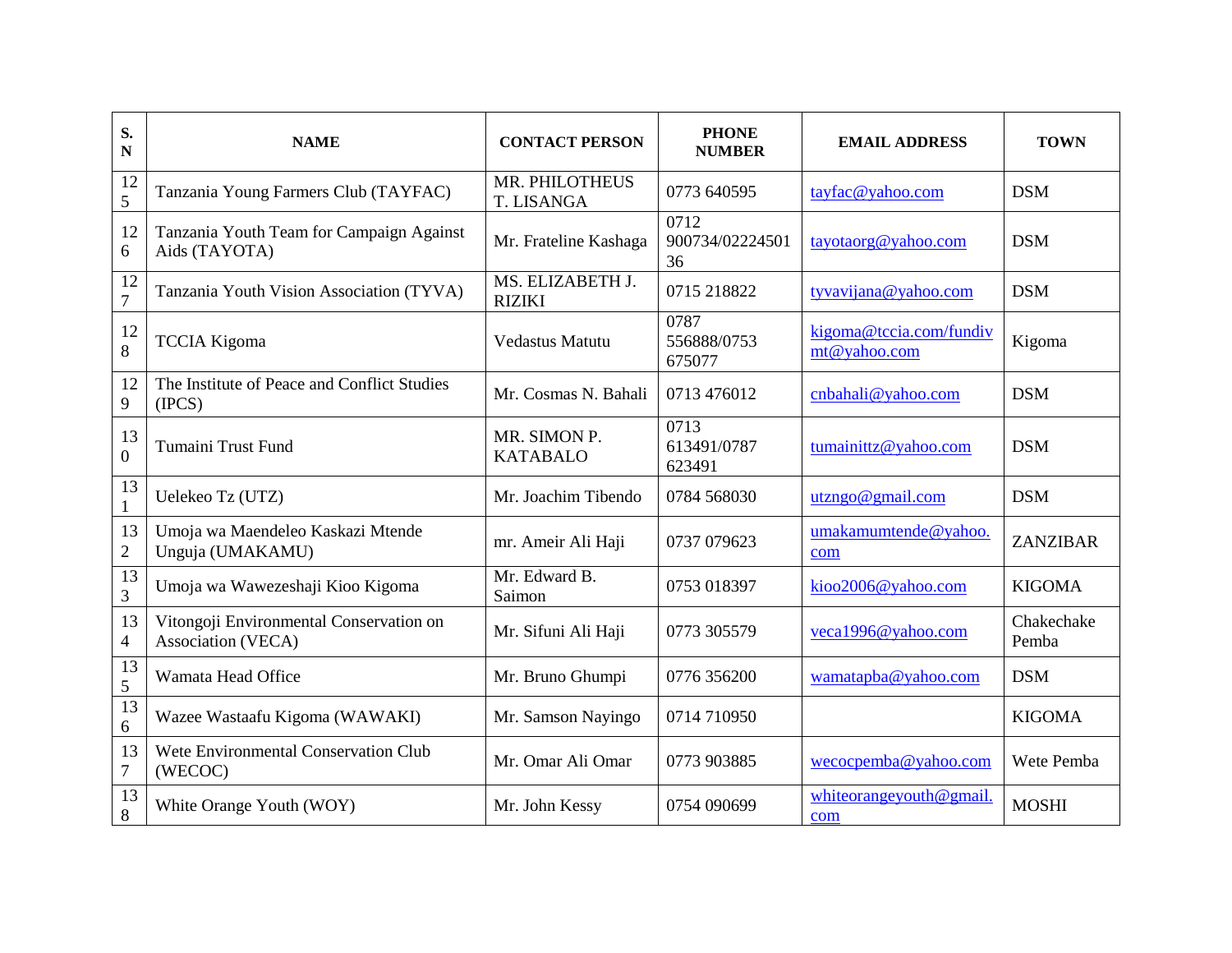| S.<br>N                | <b>NAME</b>                                                   | <b>CONTACT PERSON</b>               | <b>PHONE</b><br><b>NUMBER</b> | <b>EMAIL ADDRESS</b>                    | <b>TOWN</b>         |
|------------------------|---------------------------------------------------------------|-------------------------------------|-------------------------------|-----------------------------------------|---------------------|
| 12<br>5                | Tanzania Young Farmers Club (TAYFAC)                          | MR. PHILOTHEUS<br><b>T. LISANGA</b> | 0773 640595                   | tayfac@yahoo.com                        | <b>DSM</b>          |
| 12<br>6                | Tanzania Youth Team for Campaign Against<br>Aids (TAYOTA)     | Mr. Frateline Kashaga               | 0712<br>900734/02224501<br>36 | tayotaorg@yahoo.com                     | <b>DSM</b>          |
| 12<br>$\boldsymbol{7}$ | Tanzania Youth Vision Association (TYVA)                      | MS. ELIZABETH J.<br><b>RIZIKI</b>   | 0715 218822                   | tyvavijana@yahoo.com                    | <b>DSM</b>          |
| 12<br>8                | <b>TCCIA Kigoma</b>                                           | <b>Vedastus Matutu</b>              | 0787<br>556888/0753<br>675077 | kigoma@tccia.com/fundiv<br>mt@yahoo.com | Kigoma              |
| 12<br>$\overline{9}$   | The Institute of Peace and Conflict Studies<br>(IPCS)         | Mr. Cosmas N. Bahali                | 0713 476012                   | cnbahali@yahoo.com                      | <b>DSM</b>          |
| 13<br>$\mathbf{0}$     | Tumaini Trust Fund                                            | MR. SIMON P.<br><b>KATABALO</b>     | 0713<br>613491/0787<br>623491 | tumainittz@yahoo.com                    | <b>DSM</b>          |
| 13<br>$\mathbf{1}$     | Uelekeo Tz (UTZ)                                              | Mr. Joachim Tibendo                 | 0784 568030                   | utzngo@gmail.com                        | <b>DSM</b>          |
| 13<br>$\sqrt{2}$       | Umoja wa Maendeleo Kaskazi Mtende<br>Unguja (UMAKAMU)         | mr. Ameir Ali Haji                  | 0737 079623                   | umakamumtende@yahoo.<br>com             | ZANZIBAR            |
| 13<br>3                | Umoja wa Wawezeshaji Kioo Kigoma                              | Mr. Edward B.<br>Saimon             | 0753 018397                   | kioo2006@yahoo.com                      | <b>KIGOMA</b>       |
| 13<br>$\overline{4}$   | Vitongoji Environmental Conservation on<br>Association (VECA) | Mr. Sifuni Ali Haji                 | 0773 305579                   | veca1996@yahoo.com                      | Chakechake<br>Pemba |
| 13<br>5                | Wamata Head Office                                            | Mr. Bruno Ghumpi                    | 0776 356200                   | wamatapba@yahoo.com                     | <b>DSM</b>          |
| 13<br>$\sqrt{6}$       | Wazee Wastaafu Kigoma (WAWAKI)                                | Mr. Samson Nayingo                  | 0714 710950                   |                                         | <b>KIGOMA</b>       |
| 13<br>$\tau$           | Wete Environmental Conservation Club<br>(WECOC)               | Mr. Omar Ali Omar                   | 0773 903885                   | wecocpemba@yahoo.com                    | Wete Pemba          |
| 13<br>$8\,$            | White Orange Youth (WOY)                                      | Mr. John Kessy                      | 0754 090699                   | whiteorangeyouth@gmail<br>com           | <b>MOSHI</b>        |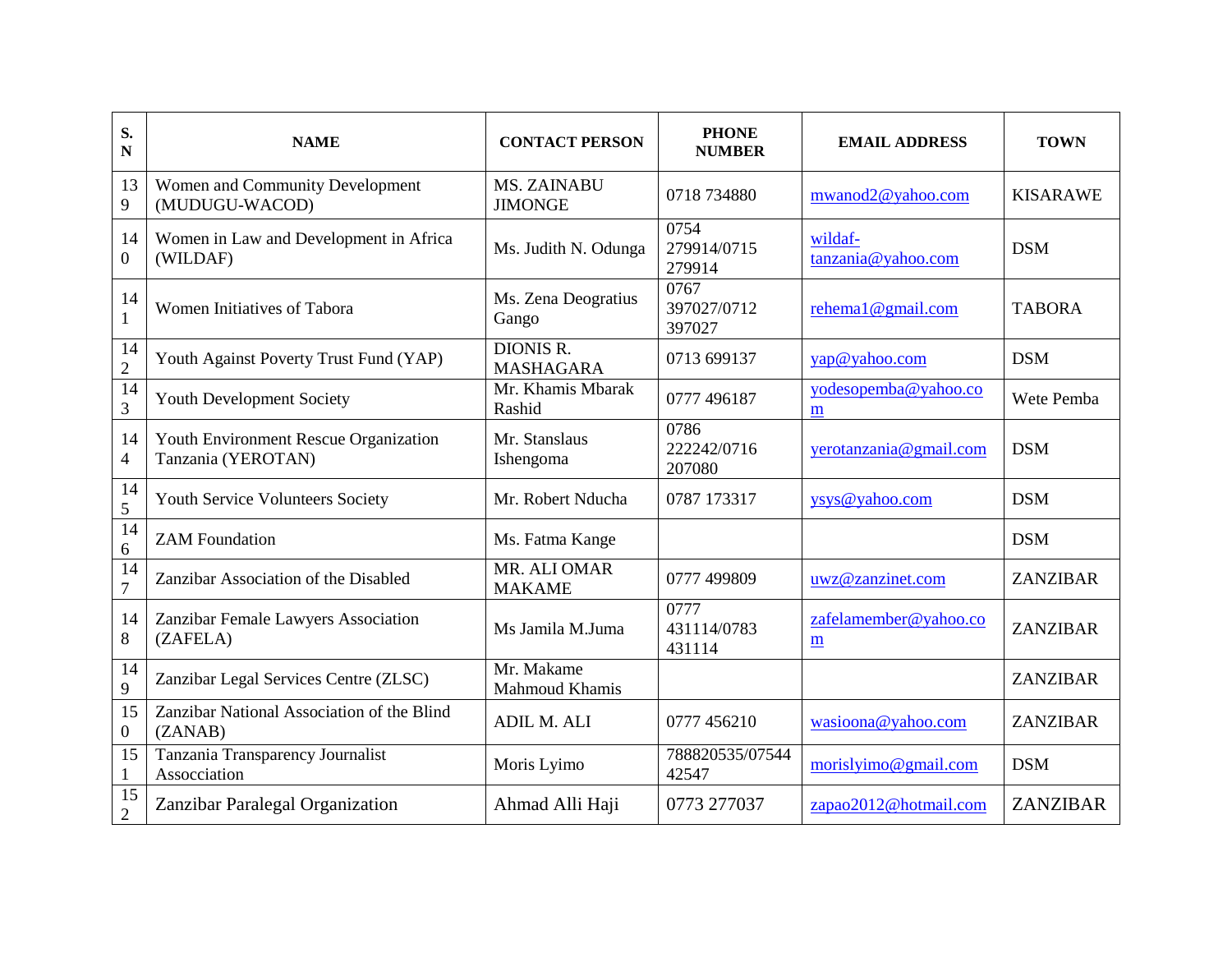| S.<br>N                | <b>NAME</b>                                                 | <b>CONTACT PERSON</b>                | <b>PHONE</b><br><b>NUMBER</b> | <b>EMAIL ADDRESS</b>          | <b>TOWN</b>     |
|------------------------|-------------------------------------------------------------|--------------------------------------|-------------------------------|-------------------------------|-----------------|
| 13<br>9                | Women and Community Development<br>(MUDUGU-WACOD)           | <b>MS. ZAINABU</b><br><b>JIMONGE</b> | 0718 734880                   | mwanod2@yahoo.com             | <b>KISARAWE</b> |
| 14<br>$\overline{0}$   | Women in Law and Development in Africa<br>(WILDAF)          | Ms. Judith N. Odunga                 | 0754<br>279914/0715<br>279914 | wildaf-<br>tanzania@yahoo.com | <b>DSM</b>      |
| 14<br>$\mathbf{1}$     | Women Initiatives of Tabora                                 | Ms. Zena Deogratius<br>Gango         | 0767<br>397027/0712<br>397027 | rehemal@gmail.com             | <b>TABORA</b>   |
| 14<br>$\overline{2}$   | Youth Against Poverty Trust Fund (YAP)                      | <b>DIONIS R.</b><br><b>MASHAGARA</b> | 0713 699137                   | yap@yahoo.com                 | <b>DSM</b>      |
| $\overline{14}$<br>3   | Youth Development Society                                   | Mr. Khamis Mbarak<br>Rashid          | 0777 496187                   | yodesopemba@yahoo.co<br>m     | Wete Pemba      |
| 14<br>$\overline{4}$   | Youth Environment Rescue Organization<br>Tanzania (YEROTAN) | Mr. Stanslaus<br>Ishengoma           | 0786<br>222242/0716<br>207080 | yerotanzania@gmail.com        | <b>DSM</b>      |
| 14<br>5                | <b>Youth Service Volunteers Society</b>                     | Mr. Robert Nducha                    | 0787 173317                   | ysys@yahoo.com                | <b>DSM</b>      |
| 14<br>$6\,$            | <b>ZAM Foundation</b>                                       | Ms. Fatma Kange                      |                               |                               | <b>DSM</b>      |
| 14<br>$\overline{7}$   | Zanzibar Association of the Disabled                        | MR. ALI OMAR<br><b>MAKAME</b>        | 0777 499809                   | uwz@zanzinet.com              | <b>ZANZIBAR</b> |
| 14<br>$8\,$            | Zanzibar Female Lawyers Association<br>(ZAFELA)             | Ms Jamila M.Juma                     | 0777<br>431114/0783<br>431114 | zafelamember@yahoo.co<br>m    | <b>ZANZIBAR</b> |
| 14<br>9                | Zanzibar Legal Services Centre (ZLSC)                       | Mr. Makame<br>Mahmoud Khamis         |                               |                               | <b>ZANZIBAR</b> |
| 15<br>$\boldsymbol{0}$ | Zanzibar National Association of the Blind<br>(ZANAB)       | ADIL M. ALI                          | 0777 456210                   | wasioona@yahoo.com            | <b>ZANZIBAR</b> |
| 15<br>$\mathbf{1}$     | Tanzania Transparency Journalist<br>Assocciation            | Moris Lyimo                          | 788820535/07544<br>42547      | morislyimo@gmail.com          | <b>DSM</b>      |
| 15<br>$\overline{2}$   | Zanzibar Paralegal Organization                             | Ahmad Alli Haji                      | 0773 277037                   | zapao2012@hotmail.com         | ZANZIBAR        |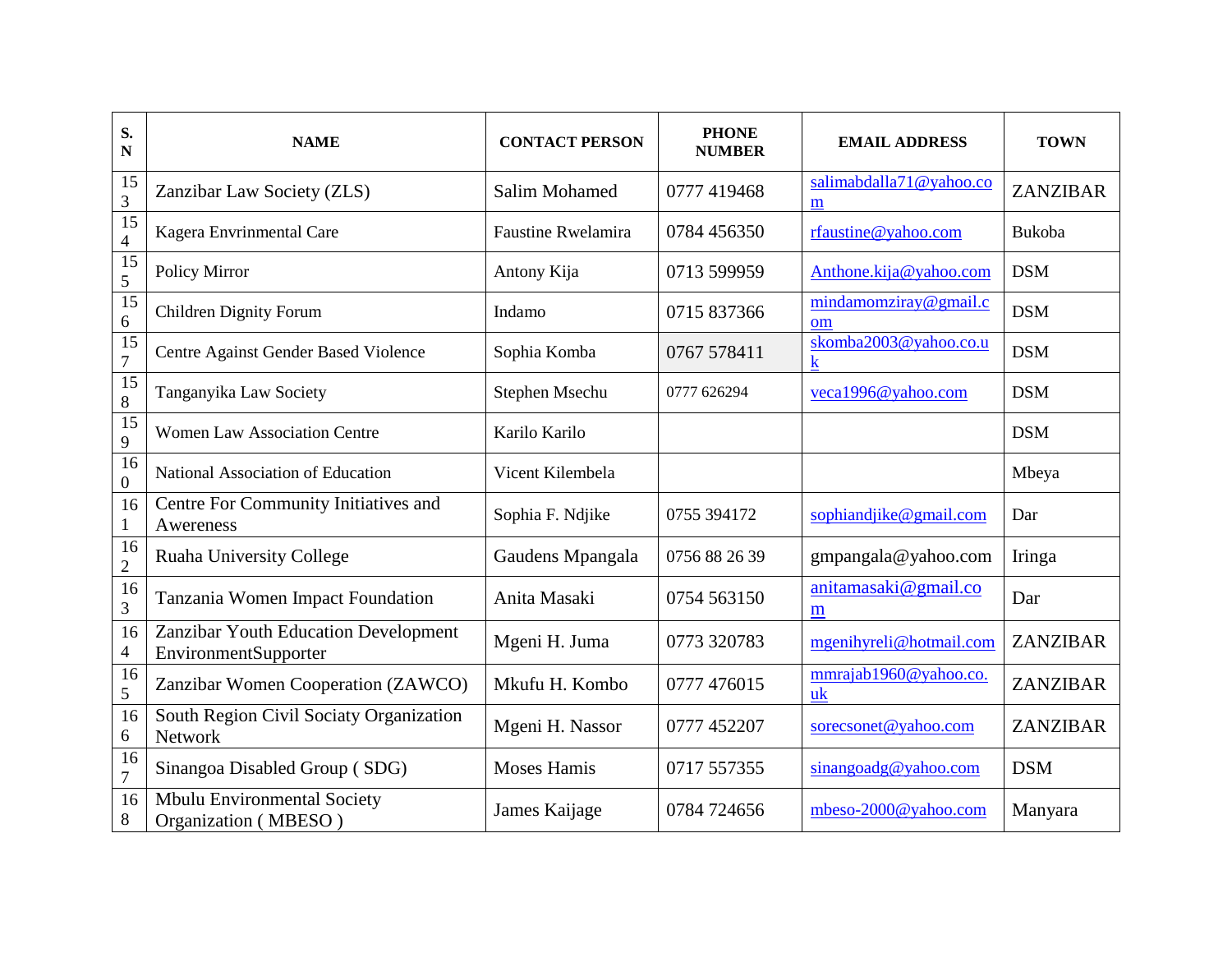| S.<br>$\mathbf N$                 | <b>NAME</b>                                                  | <b>CONTACT PERSON</b>     | <b>PHONE</b><br><b>NUMBER</b> | <b>EMAIL ADDRESS</b>         | <b>TOWN</b> |
|-----------------------------------|--------------------------------------------------------------|---------------------------|-------------------------------|------------------------------|-------------|
| 15<br>$\overline{3}$              | Zanzibar Law Society (ZLS)                                   | <b>Salim Mohamed</b>      | 0777 419468                   | salimabdalla71@yahoo.co<br>m | ZANZIBAR    |
| $\overline{15}$<br>$\overline{4}$ | Kagera Envrinmental Care                                     | <b>Faustine Rwelamira</b> | 0784 456350                   | rfaustine@yahoo.com          | Bukoba      |
| $\overline{15}$<br>5              | Policy Mirror                                                | Antony Kija               | 0713 599959                   | Anthone.kija@yahoo.com       | <b>DSM</b>  |
| $\overline{15}$<br>$\sqrt{6}$     | <b>Children Dignity Forum</b>                                | Indamo                    | 0715 837366                   | mindamomziray@gmail.c<br>om  | <b>DSM</b>  |
| 15<br>$\overline{7}$              | Centre Against Gender Based Violence                         | Sophia Komba              | 0767 578411                   | skomba2003@yahoo.co.u<br>k   | <b>DSM</b>  |
| $\overline{15}$<br>$8\,$          | Tanganyika Law Society                                       | Stephen Msechu            | 0777 626294                   | veca1996@yahoo.com           | <b>DSM</b>  |
| $\overline{15}$<br>$\overline{9}$ | <b>Women Law Association Centre</b>                          | Karilo Karilo             |                               |                              | <b>DSM</b>  |
| 16<br>$\mathbf{0}$                | National Association of Education                            | Vicent Kilembela          |                               |                              | Mbeya       |
| 16<br>$\mathbf{1}$                | Centre For Community Initiatives and<br>Awereness            | Sophia F. Ndjike          | 0755 394172                   | sophiandjike@gmail.com       | Dar         |
| 16<br>$\overline{2}$              | <b>Ruaha University College</b>                              | Gaudens Mpangala          | 0756 88 26 39                 | gmpangala@yahoo.com          | Iringa      |
| 16<br>3                           | Tanzania Women Impact Foundation                             | Anita Masaki              | 0754 563150                   | anitamasaki@gmail.co<br>m    | Dar         |
| 16<br>$\overline{4}$              | Zanzibar Youth Education Development<br>EnvironmentSupporter | Mgeni H. Juma             | 0773 320783                   | mgenihyreli@hotmail.com      | ZANZIBAR    |
| 16<br>5                           | Zanzibar Women Cooperation (ZAWCO)                           | Mkufu H. Kombo            | 0777 476015                   | mmrajab1960@yahoo.co.<br>uk  | ZANZIBAR    |
| 16<br>6                           | South Region Civil Sociaty Organization<br>Network           | Mgeni H. Nassor           | 0777 452207                   | sorecsonet@yahoo.com         | ZANZIBAR    |
| 16<br>$\tau$                      | Sinangoa Disabled Group (SDG)                                | <b>Moses Hamis</b>        | 0717 557355                   | sinangoadg@yahoo.com         | <b>DSM</b>  |
| 16<br>8                           | Mbulu Environmental Society<br>Organization (MBESO)          | James Kaijage             | 0784 724656                   | mbeso-2000@yahoo.com         | Manyara     |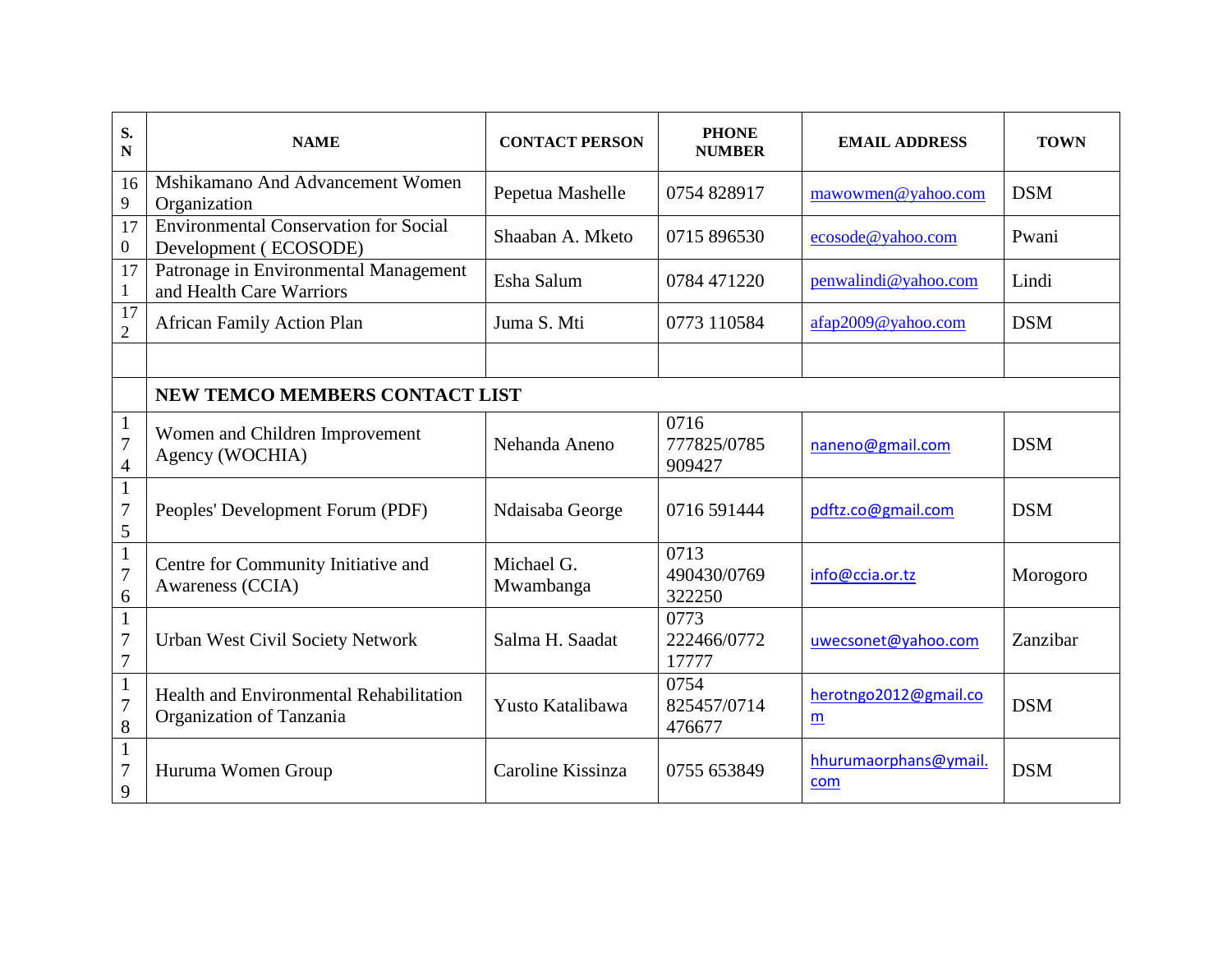| S.<br>$\mathbf N$                                | <b>NAME</b>                                                           | <b>CONTACT PERSON</b>   | <b>PHONE</b><br><b>NUMBER</b> | <b>EMAIL ADDRESS</b>                     | <b>TOWN</b> |  |  |  |
|--------------------------------------------------|-----------------------------------------------------------------------|-------------------------|-------------------------------|------------------------------------------|-------------|--|--|--|
| 16<br>9                                          | Mshikamano And Advancement Women<br>Organization                      | Pepetua Mashelle        | 0754 828917                   | mawowmen@yahoo.com                       | <b>DSM</b>  |  |  |  |
| 17<br>$\boldsymbol{0}$                           | <b>Environmental Conservation for Social</b><br>Development (ECOSODE) | Shaaban A. Mketo        | 0715 896530                   | ecosode@yahoo.com                        | Pwani       |  |  |  |
| 17<br>$\mathbf{1}$                               | Patronage in Environmental Management<br>and Health Care Warriors     | Esha Salum              | 0784 471220                   | penwalindi@yahoo.com                     | Lindi       |  |  |  |
| $\overline{17}$<br>$\overline{2}$                | <b>African Family Action Plan</b>                                     | Juma S. Mti             | 0773 110584                   | afap2009@yahoo.com                       | <b>DSM</b>  |  |  |  |
|                                                  |                                                                       |                         |                               |                                          |             |  |  |  |
|                                                  | <b>NEW TEMCO MEMBERS CONTACT LIST</b>                                 |                         |                               |                                          |             |  |  |  |
| $\mathbf{1}$<br>$\overline{7}$<br>$\overline{4}$ | Women and Children Improvement<br>Agency (WOCHIA)                     | Nehanda Aneno           | 0716<br>777825/0785<br>909427 | naneno@gmail.com                         | <b>DSM</b>  |  |  |  |
| $\mathbf{1}$<br>$\boldsymbol{7}$<br>5            | Peoples' Development Forum (PDF)                                      | Ndaisaba George         | 0716 591444                   | pdftz.co@gmail.com                       | <b>DSM</b>  |  |  |  |
| $\,1\,$<br>$\overline{7}$<br>6                   | Centre for Community Initiative and<br>Awareness (CCIA)               | Michael G.<br>Mwambanga | 0713<br>490430/0769<br>322250 | info@ccia.or.tz                          | Morogoro    |  |  |  |
| $\mathbf{1}$<br>$\overline{7}$<br>$\overline{7}$ | <b>Urban West Civil Society Network</b>                               | Salma H. Saadat         | 0773<br>222466/0772<br>17777  | uwecsonet@yahoo.com                      | Zanzibar    |  |  |  |
| $\mathbf{1}$<br>$\overline{7}$<br>8              | Health and Environmental Rehabilitation<br>Organization of Tanzania   | Yusto Katalibawa        | 0754<br>825457/0714<br>476677 | herotngo2012@gmail.co<br>$\underline{m}$ | <b>DSM</b>  |  |  |  |
| $\mathbf{1}$<br>$\overline{7}$<br>9              | Huruma Women Group                                                    | Caroline Kissinza       | 0755 653849                   | hhurumaorphans@ymail.<br>com             | <b>DSM</b>  |  |  |  |